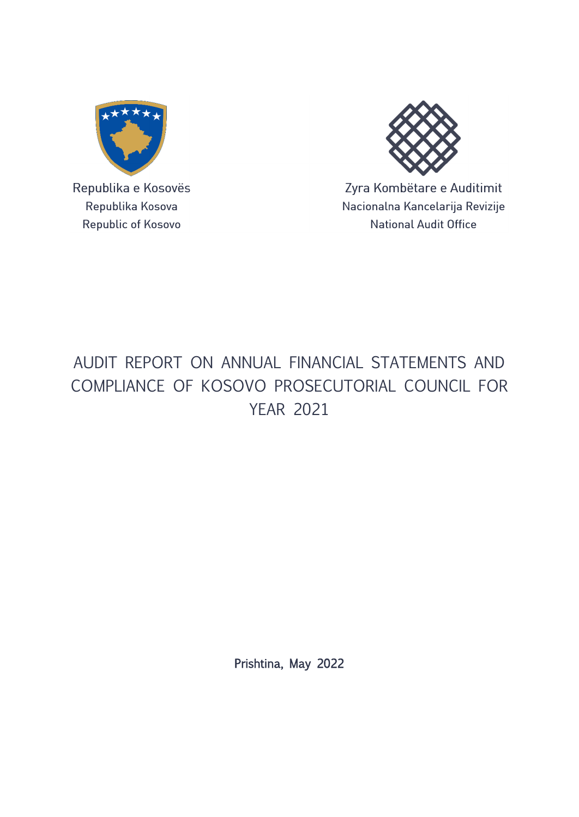

Republika e Kosovës Republika Kosova Republic of Kosovo



Zyra Kombëtare e Auditimit Nacionalna Kancelarija Revizije **National Audit Office** 

# AUDIT REPORT ON ANNUAL FINANCIAL STATEMENTS AND COMPLIANCE OF KOSOVO PROSECUTORIAL COUNCIL FOR YEAR 2021

Prishtina, May 2022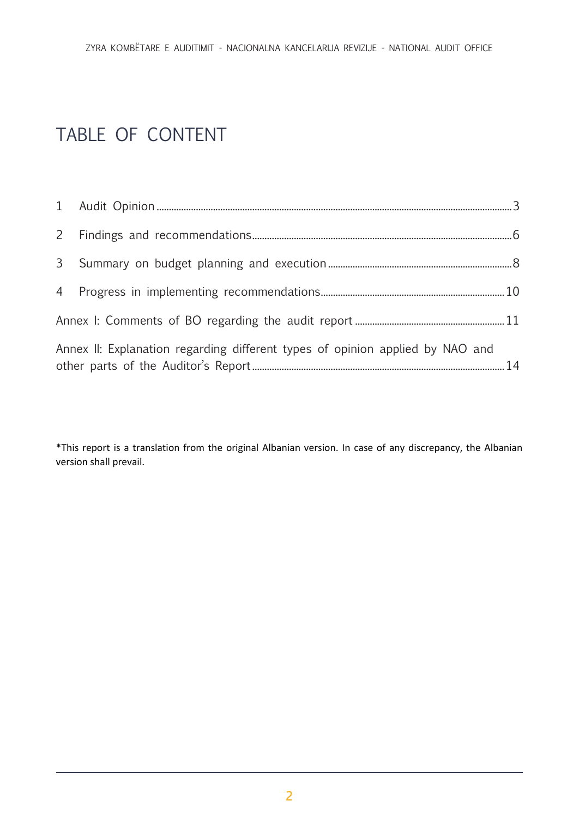# TABLE OF CONTENT

| Annex II: Explanation regarding different types of opinion applied by NAO and |  |
|-------------------------------------------------------------------------------|--|

\*This report is a translation from the original Albanian version. In case of any discrepancy, the Albanian version shall prevail.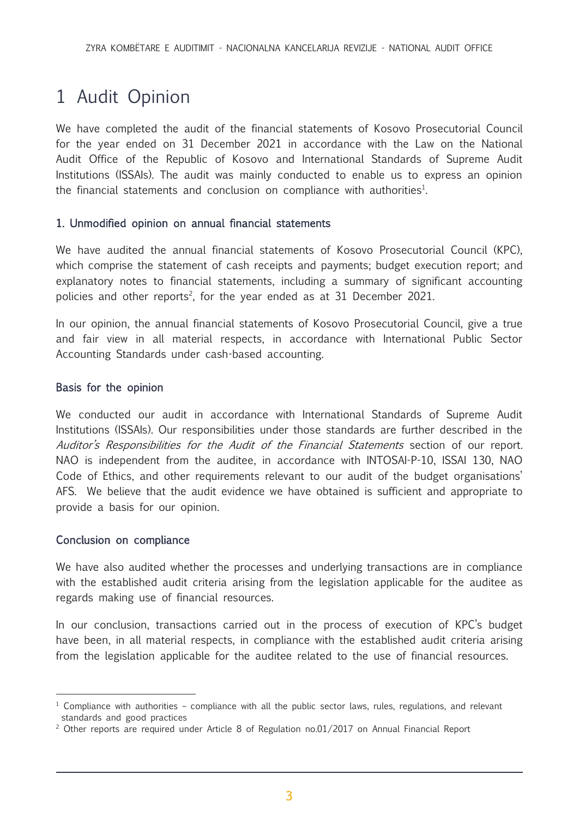# <span id="page-2-0"></span>1 Audit Opinion

We have completed the audit of the financial statements of Kosovo Prosecutorial Council for the year ended on 31 December 2021 in accordance with the Law on the National Audit Office of the Republic of Kosovo and International Standards of Supreme Audit Institutions (ISSAIs). The audit was mainly conducted to enable us to express an opinion the financial statements and conclusion on compliance with authorities<sup>1</sup>.

### 1. Unmodified opinion on annual financial statements

We have audited the annual financial statements of Kosovo Prosecutorial Council (KPC), which comprise the statement of cash receipts and payments; budget execution report; and explanatory notes to financial statements, including a summary of significant accounting policies and other reports<sup>2</sup>, for the year ended as at 31 December 2021.

In our opinion, the annual financial statements of Kosovo Prosecutorial Council, give a true and fair view in all material respects, in accordance with International Public Sector Accounting Standards under cash-based accounting.

#### Basis for the opinion

We conducted our audit in accordance with International Standards of Supreme Audit Institutions (ISSAIs). Our responsibilities under those standards are further described in the Auditor's Responsibilities for the Audit of the Financial Statements section of our report. NAO is independent from the auditee, in accordance with INTOSAI-P-10, ISSAI 130, NAO Code of Ethics, and other requirements relevant to our audit of the budget organisations' AFS. We believe that the audit evidence we have obtained is sufficient and appropriate to provide a basis for our opinion.

#### Conclusion on compliance

We have also audited whether the processes and underlying transactions are in compliance with the established audit criteria arising from the legislation applicable for the auditee as regards making use of financial resources.

In our conclusion, transactions carried out in the process of execution of KPC's budget have been, in all material respects, in compliance with the established audit criteria arising from the legislation applicable for the auditee related to the use of financial resources.

<sup>&</sup>lt;sup>1</sup> Compliance with authorities – compliance with all the public sector laws, rules, regulations, and relevant standards and good practices

<sup>&</sup>lt;sup>2</sup> Other reports are required under Article 8 of Regulation no.01/2017 on Annual Financial Report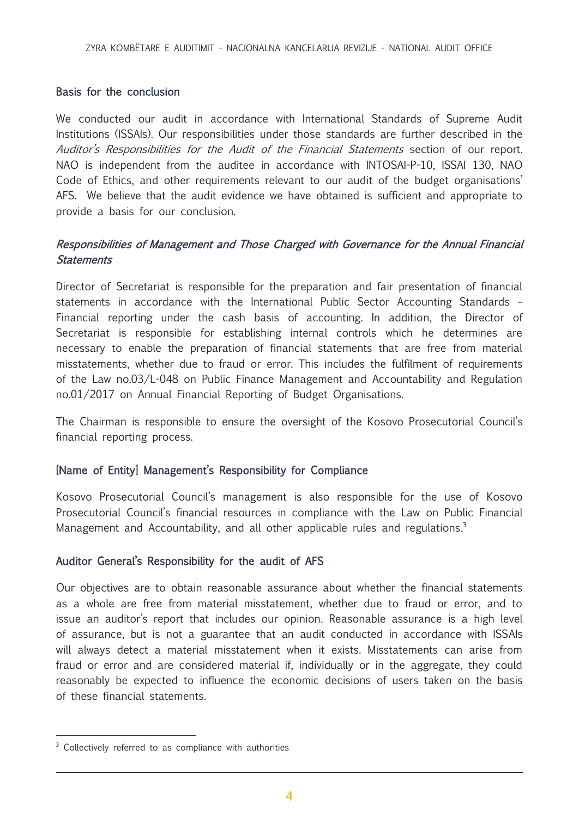#### Basis for the conclusion

We conducted our audit in accordance with International Standards of Supreme Audit Institutions (ISSAIs). Our responsibilities under those standards are further described in the Auditor's Responsibilities for the Audit of the Financial Statements section of our report. NAO is independent from the auditee in accordance with INTOSAI-P-10, ISSAI 130, NAO Code of Ethics, and other requirements relevant to our audit of the budget organisations' AFS. We believe that the audit evidence we have obtained is sufficient and appropriate to provide a basis for our conclusion.

## Responsibilities of Management and Those Charged with Governance for the Annual Financial **Statements**

Director of Secretariat is responsible for the preparation and fair presentation of financial statements in accordance with the International Public Sector Accounting Standards – Financial reporting under the cash basis of accounting. In addition, the Director of Secretariat is responsible for establishing internal controls which he determines are necessary to enable the preparation of financial statements that are free from material misstatements, whether due to fraud or error. This includes the fulfilment of requirements of the Law no.03/L-048 on Public Finance Management and Accountability and Regulation no.01/2017 on Annual Financial Reporting of Budget Organisations.

The Chairman is responsible to ensure the oversight of the Kosovo Prosecutorial Council's financial reporting process.

### [Name of Entity] Management's Responsibility for Compliance

Kosovo Prosecutorial Council's management is also responsible for the use of Kosovo Prosecutorial Council's financial resources in compliance with the Law on Public Financial Management and Accountability, and all other applicable rules and regulations.<sup>3</sup>

### Auditor General's Responsibility for the audit of AFS

Our objectives are to obtain reasonable assurance about whether the financial statements as a whole are free from material misstatement, whether due to fraud or error, and to issue an auditor's report that includes our opinion. Reasonable assurance is a high level of assurance, but is not a guarantee that an audit conducted in accordance with ISSAIs will always detect a material misstatement when it exists. Misstatements can arise from fraud or error and are considered material if, individually or in the aggregate, they could reasonably be expected to influence the economic decisions of users taken on the basis of these financial statements.

<sup>&</sup>lt;sup>3</sup> Collectively referred to as compliance with authorities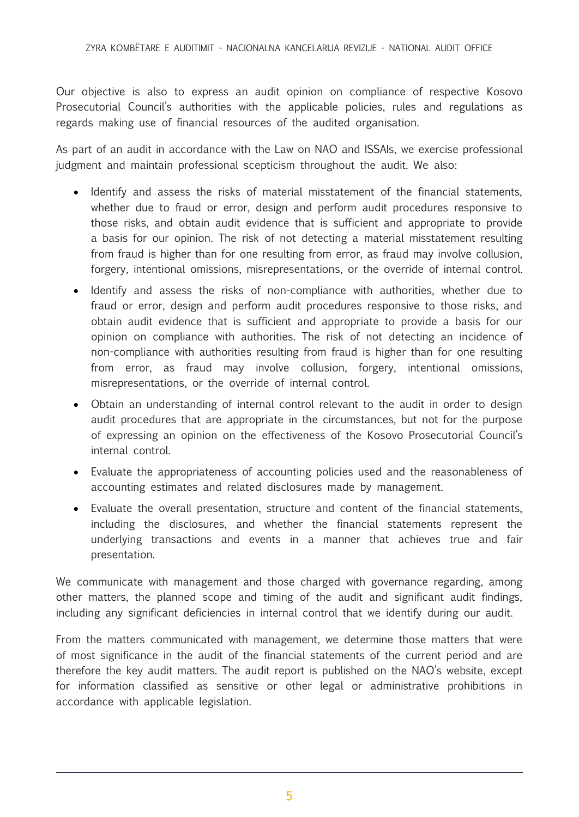Our objective is also to express an audit opinion on compliance of respective Kosovo Prosecutorial Council's authorities with the applicable policies, rules and regulations as regards making use of financial resources of the audited organisation.

As part of an audit in accordance with the Law on NAO and ISSAIs, we exercise professional judgment and maintain professional scepticism throughout the audit. We also:

- Identify and assess the risks of material misstatement of the financial statements, whether due to fraud or error, design and perform audit procedures responsive to those risks, and obtain audit evidence that is sufficient and appropriate to provide a basis for our opinion. The risk of not detecting a material misstatement resulting from fraud is higher than for one resulting from error, as fraud may involve collusion, forgery, intentional omissions, misrepresentations, or the override of internal control.
- Identify and assess the risks of non-compliance with authorities, whether due to fraud or error, design and perform audit procedures responsive to those risks, and obtain audit evidence that is sufficient and appropriate to provide a basis for our opinion on compliance with authorities. The risk of not detecting an incidence of non-compliance with authorities resulting from fraud is higher than for one resulting from error, as fraud may involve collusion, forgery, intentional omissions, misrepresentations, or the override of internal control.
- Obtain an understanding of internal control relevant to the audit in order to design audit procedures that are appropriate in the circumstances, but not for the purpose of expressing an opinion on the effectiveness of the Kosovo Prosecutorial Council's internal control.
- Evaluate the appropriateness of accounting policies used and the reasonableness of accounting estimates and related disclosures made by management.
- Evaluate the overall presentation, structure and content of the financial statements, including the disclosures, and whether the financial statements represent the underlying transactions and events in a manner that achieves true and fair presentation.

We communicate with management and those charged with governance regarding, among other matters, the planned scope and timing of the audit and significant audit findings, including any significant deficiencies in internal control that we identify during our audit.

From the matters communicated with management, we determine those matters that were of most significance in the audit of the financial statements of the current period and are therefore the key audit matters. The audit report is published on the NAO's website, except for information classified as sensitive or other legal or administrative prohibitions in accordance with applicable legislation.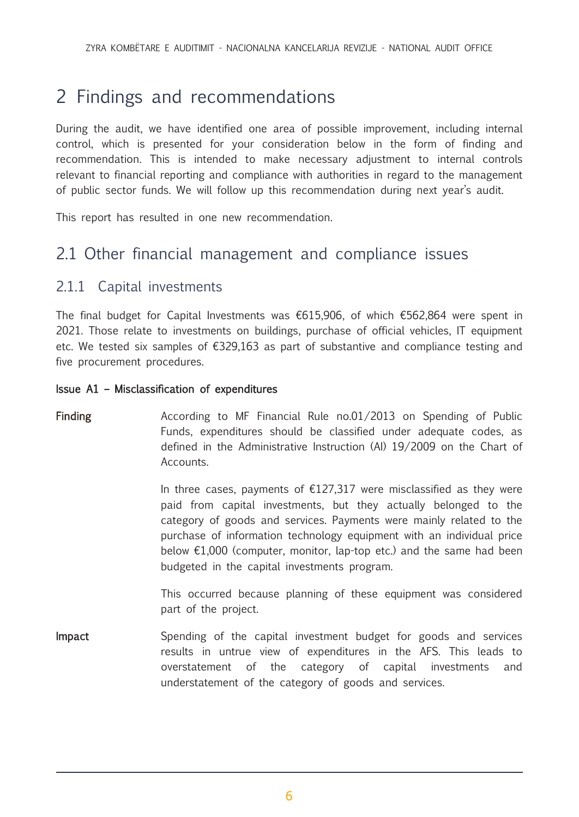# <span id="page-5-0"></span>2 Findings and recommendations

During the audit, we have identified one area of possible improvement, including internal control, which is presented for your consideration below in the form of finding and recommendation. This is intended to make necessary adjustment to internal controls relevant to financial reporting and compliance with authorities in regard to the management of public sector funds. We will follow up this recommendation during next year's audit.

This report has resulted in one new recommendation.

# 2.1 Other financial management and compliance issues

# 2.1.1 Capital investments

The final budget for Capital Investments was €615,906, of which €562,864 were spent in 2021. Those relate to investments on buildings, purchase of official vehicles, IT equipment etc. We tested six samples of €329,163 as part of substantive and compliance testing and five procurement procedures.

### Issue A1 – Misclassification of expenditures

# Finding  $\blacksquare$  According to MF Financial Rule no.01/2013 on Spending of Public Funds, expenditures should be classified under adequate codes, as defined in the Administrative Instruction (AI) 19/2009 on the Chart of Accounts.

In three cases, payments of  $£127,317$  were misclassified as they were paid from capital investments, but they actually belonged to the category of goods and services. Payments were mainly related to the purchase of information technology equipment with an individual price below  $£1,000$  (computer, monitor, lap-top etc.) and the same had been budgeted in the capital investments program.

This occurred because planning of these equipment was considered part of the project.

**Impact** Spending of the capital investment budget for goods and services results in untrue view of expenditures in the AFS. This leads to overstatement of the category of capital investments and understatement of the category of goods and services.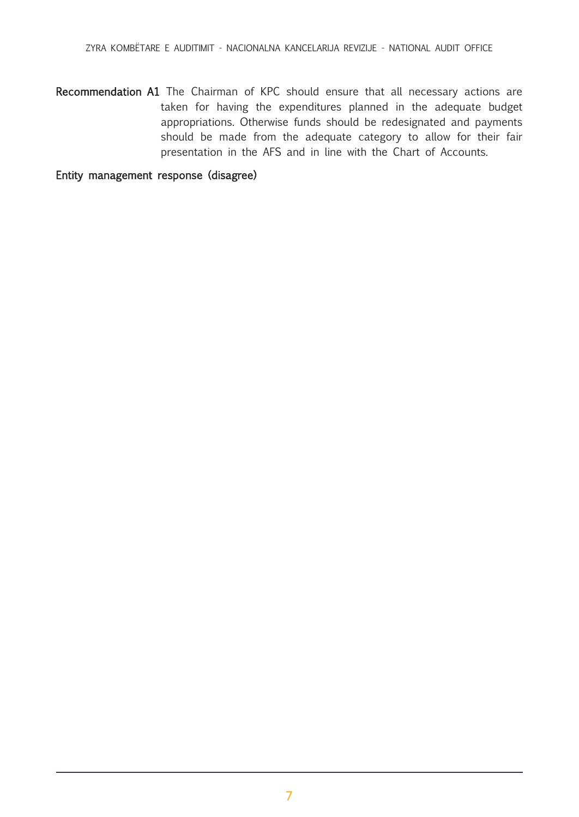Recommendation A1 The Chairman of KPC should ensure that all necessary actions are taken for having the expenditures planned in the adequate budget appropriations. Otherwise funds should be redesignated and payments should be made from the adequate category to allow for their fair presentation in the AFS and in line with the Chart of Accounts.

Entity management response (disagree)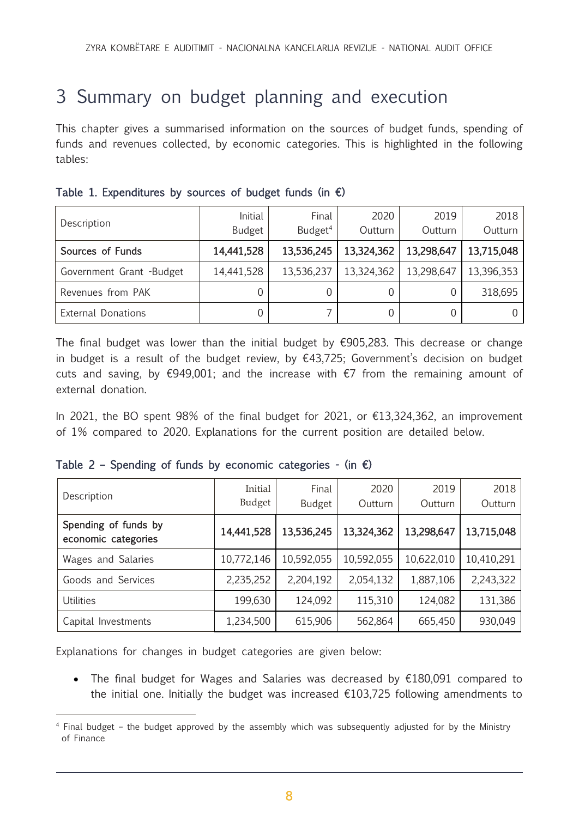# <span id="page-7-0"></span>3 Summary on budget planning and execution

This chapter gives a summarised information on the sources of budget funds, spending of funds and revenues collected, by economic categories. This is highlighted in the following tables:

| Description               | Initial<br><b>Budget</b> | Final<br>Budget <sup>4</sup> | 2020<br>Outturn | 2019<br>Outturn | 2018<br>Outturn |
|---------------------------|--------------------------|------------------------------|-----------------|-----------------|-----------------|
| Sources of Funds          | 14,441,528               | 13,536,245                   | 13,324,362      | 13,298,647      | 13,715,048      |
| Government Grant -Budget  | 14,441,528               | 13,536,237                   | 13,324,362      | 13,298,647      | 13,396,353      |
| Revenues from PAK         |                          |                              |                 |                 | 318,695         |
| <b>External Donations</b> |                          |                              |                 |                 |                 |

|  |  | Table 1. Expenditures by sources of budget funds (in $\epsilon$ ) |  |  |  |  |  |  |  |  |
|--|--|-------------------------------------------------------------------|--|--|--|--|--|--|--|--|
|--|--|-------------------------------------------------------------------|--|--|--|--|--|--|--|--|

The final budget was lower than the initial budget by  $\epsilon$ 905,283. This decrease or change in budget is a result of the budget review, by  $€43,725$ ; Government's decision on budget cuts and saving, by  $\epsilon$ 949,001; and the increase with  $\epsilon$ 7 from the remaining amount of external donation.

In 2021, the BO spent 98% of the final budget for 2021, or  $\epsilon$ 13,324,362, an improvement of 1% compared to 2020. Explanations for the current position are detailed below.

| Description                                 | Initial<br>Budget | Final<br><b>Budget</b> | 2020<br>Outturn | 2019<br>Outturn | 2018<br>Outturn |
|---------------------------------------------|-------------------|------------------------|-----------------|-----------------|-----------------|
| Spending of funds by<br>economic categories | 14,441,528        | 13,536,245             | 13,324,362      | 13,298,647      | 13,715,048      |
| Wages and Salaries                          | 10,772,146        | 10,592,055             | 10,592,055      | 10,622,010      | 10,410,291      |
| Goods and Services                          | 2,235,252         | 2,204,192              | 2,054,132       | 1,887,106       | 2,243,322       |
| <b>Utilities</b>                            | 199,630           | 124,092                | 115,310         | 124,082         | 131,386         |
| Capital Investments                         | 1,234,500         | 615,906                | 562,864         | 665,450         | 930,049         |

|  |  |  |  |  | Table 2 - Spending of funds by economic categories - (in $\epsilon$ ) |  |  |  |  |
|--|--|--|--|--|-----------------------------------------------------------------------|--|--|--|--|
|--|--|--|--|--|-----------------------------------------------------------------------|--|--|--|--|

Explanations for changes in budget categories are given below:

• The final budget for Wages and Salaries was decreased by €180,091 compared to the initial one. Initially the budget was increased  $£103,725$  following amendments to

<sup>4</sup> Final budget – the budget approved by the assembly which was subsequently adjusted for by the Ministry of Finance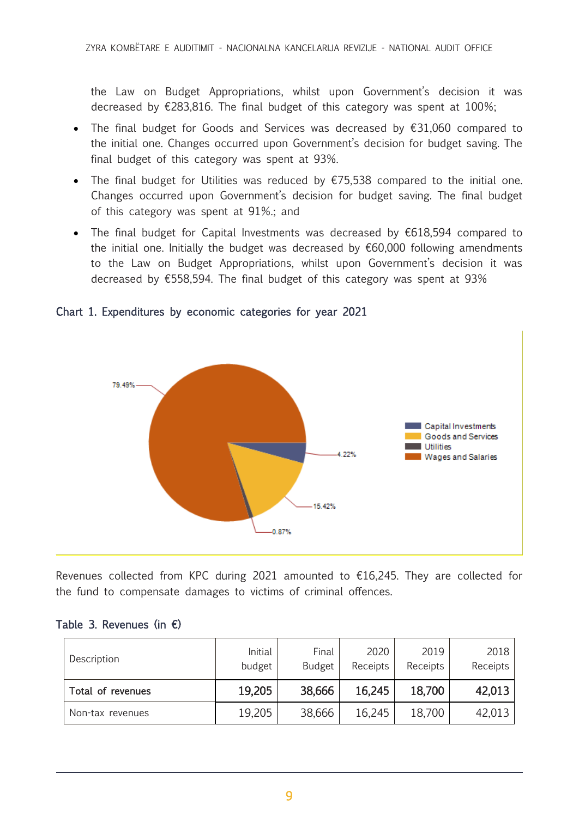the Law on Budget Appropriations, whilst upon Government's decision it was decreased by  $\epsilon$ 283,816. The final budget of this category was spent at 100%;

- The final budget for Goods and Services was decreased by €31,060 compared to the initial one. Changes occurred upon Government's decision for budget saving. The final budget of this category was spent at 93%.
- The final budget for Utilities was reduced by €75,538 compared to the initial one. Changes occurred upon Government's decision for budget saving. The final budget of this category was spent at 91%.; and
- The final budget for Capital Investments was decreased by €618,594 compared to the initial one. Initially the budget was decreased by  $€60,000$  following amendments to the Law on Budget Appropriations, whilst upon Government's decision it was decreased by €558,594. The final budget of this category was spent at 93%





Revenues collected from KPC during 2021 amounted to  $£16,245$ . They are collected for the fund to compensate damages to victims of criminal offences.

#### Table 3. Revenues (in  $\epsilon$ )

| Description       | <b>Initial</b><br>budget | Final<br><b>Budget</b> | 2020<br>Receipts | 2019<br>Receipts | 2018<br>Receipts |
|-------------------|--------------------------|------------------------|------------------|------------------|------------------|
| Total of revenues | 19,205                   | 38,666                 | 16,245           | 18,700           | 42,013           |
| Non-tax revenues  | 19,205                   | 38,666                 | 16,245           | 18,700           | 42,013           |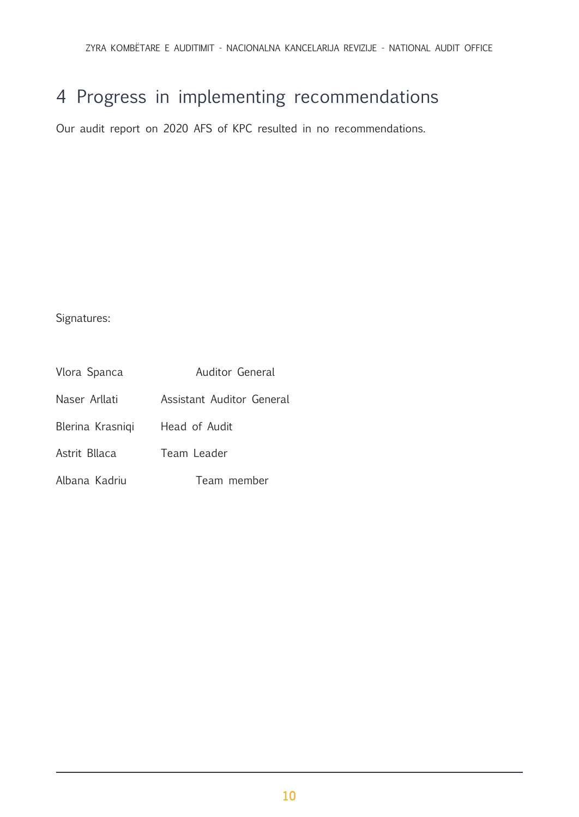# <span id="page-9-0"></span>4 Progress in implementing recommendations

Our audit report on 2020 AFS of KPC resulted in no recommendations.

Signatures:

| Vlora Spanca     | Auditor General           |  |  |  |  |
|------------------|---------------------------|--|--|--|--|
| Naser Arllati    | Assistant Auditor General |  |  |  |  |
| Blerina Krasniqi | Head of Audit             |  |  |  |  |
| Astrit Bllaca    | Team Leader               |  |  |  |  |
| Albana Kadriu    | Team member               |  |  |  |  |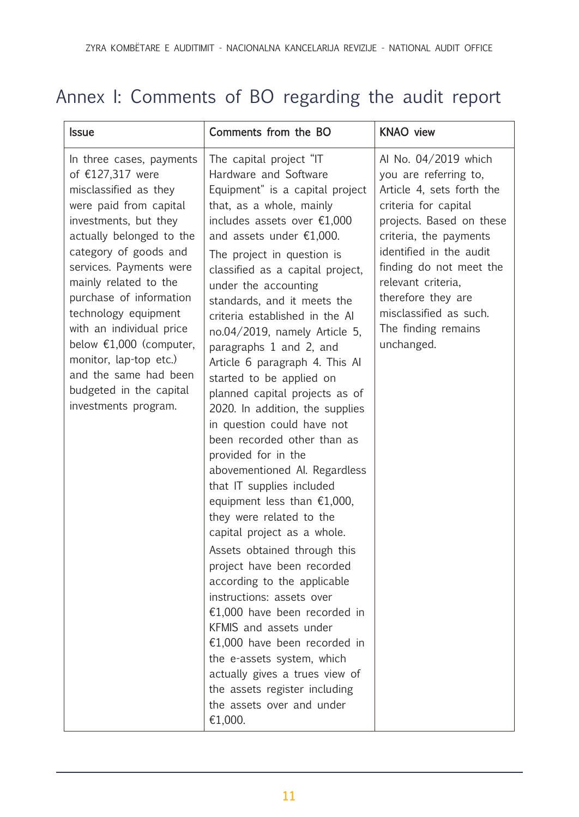# <span id="page-10-0"></span>Annex I: Comments of BO regarding the audit report

| <b>Issue</b>                                                                                                                                                                                                                                                                                                                                                                                                                                        | Comments from the BO                                                                                                                                                                                                                                                                                                                                                                                                                                                                                                                                                                                                                                                                                                                                                                                                                                                                                                                                                                                                                                                                                                                                    | <b>KNAO</b> view                                                                                                                                                                                                                                                                                                          |
|-----------------------------------------------------------------------------------------------------------------------------------------------------------------------------------------------------------------------------------------------------------------------------------------------------------------------------------------------------------------------------------------------------------------------------------------------------|---------------------------------------------------------------------------------------------------------------------------------------------------------------------------------------------------------------------------------------------------------------------------------------------------------------------------------------------------------------------------------------------------------------------------------------------------------------------------------------------------------------------------------------------------------------------------------------------------------------------------------------------------------------------------------------------------------------------------------------------------------------------------------------------------------------------------------------------------------------------------------------------------------------------------------------------------------------------------------------------------------------------------------------------------------------------------------------------------------------------------------------------------------|---------------------------------------------------------------------------------------------------------------------------------------------------------------------------------------------------------------------------------------------------------------------------------------------------------------------------|
| In three cases, payments<br>of €127,317 were<br>misclassified as they<br>were paid from capital<br>investments, but they<br>actually belonged to the<br>category of goods and<br>services. Payments were<br>mainly related to the<br>purchase of information<br>technology equipment<br>with an individual price<br>below $£1,000$ (computer,<br>monitor, lap-top etc.)<br>and the same had been<br>budgeted in the capital<br>investments program. | The capital project "IT<br>Hardware and Software<br>Equipment" is a capital project<br>that, as a whole, mainly<br>includes assets over $£1,000$<br>and assets under $£1,000$ .<br>The project in question is<br>classified as a capital project,<br>under the accounting<br>standards, and it meets the<br>criteria established in the Al<br>$no.04/2019$ , namely Article 5,<br>paragraphs 1 and 2, and<br>Article 6 paragraph 4. This Al<br>started to be applied on<br>planned capital projects as of<br>2020. In addition, the supplies<br>in question could have not<br>been recorded other than as<br>provided for in the<br>abovementioned Al. Regardless<br>that IT supplies included<br>equipment less than $£1,000,$<br>they were related to the<br>capital project as a whole.<br>Assets obtained through this<br>project have been recorded<br>according to the applicable<br>instructions: assets over<br>€1,000 have been recorded in<br>KFMIS and assets under<br>€1,000 have been recorded in<br>the e-assets system, which<br>actually gives a trues view of<br>the assets register including<br>the assets over and under<br>€1,000. | Al No. 04/2019 which<br>you are referring to,<br>Article 4, sets forth the<br>criteria for capital<br>projects. Based on these<br>criteria, the payments<br>identified in the audit<br>finding do not meet the<br>relevant criteria,<br>therefore they are<br>misclassified as such.<br>The finding remains<br>unchanged. |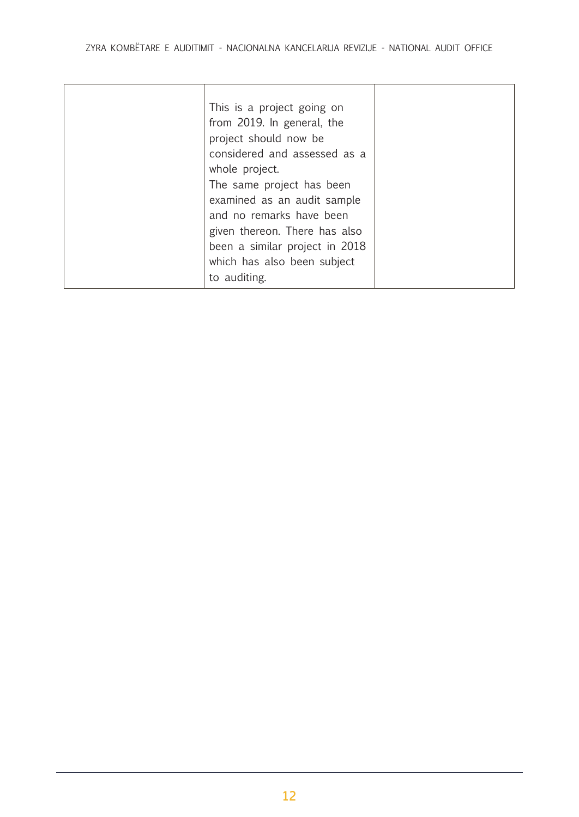| This is a project going on<br>from 2019. In general, the<br>project should now be<br>considered and assessed as a<br>whole project.<br>The same project has been<br>examined as an audit sample<br>and no remarks have been<br>given thereon. There has also<br>been a similar project in 2018<br>which has also been subject |  |
|-------------------------------------------------------------------------------------------------------------------------------------------------------------------------------------------------------------------------------------------------------------------------------------------------------------------------------|--|
| to auditing.                                                                                                                                                                                                                                                                                                                  |  |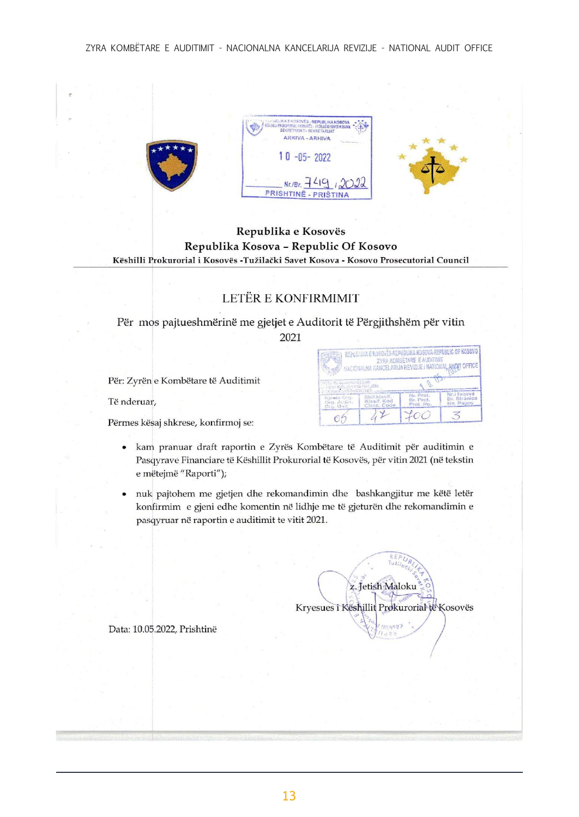

#### Republika e Kosovës Republika Kosova - Republic Of Kosovo Këshilli Prokurorial i Kosovës -Tužilački Savet Kosova - Kosovo Prosecutorial Council

## LETËR E KONFIRMIMIT

### Për mos pajtueshmërinë me gjetjet e Auditorit të Përgjithshëm për vitin 2021

Për: Zyrën e Kombëtare të Auditimit

Të nderuar,

Përmes kësaj shkrese, konfirmoj se:

kam pranuar draft raportin e Zyrës Kombëtare të Auditimit për auditimin e  $\bullet$ Pasqyrave Financiare të Këshillit Prokurorial të Kosovës, për vitin 2021 (në tekstin e mëtejmë "Raporti");

05

nuk pajtohem me gjetjen dhe rekomandimin dhe bashkangjitur me këtë letër konfirmim e gjeni edhe komentin në lidhje me të gjeturën dhe rekomandimin e pasqyruar në raportin e auditimit te vitit 2021.



E KOSOVĚS-REPUBLIKA KOSOVA-REPUBLIC OF KOSOVO RA KOMBETARE E AUDITIM ARLIA REVIZUE / NATION

 $400$ 

**AHATT OFFIC!** 

i faqeve<br>Stranica

3

Data: 10.05.2022, Prishtinë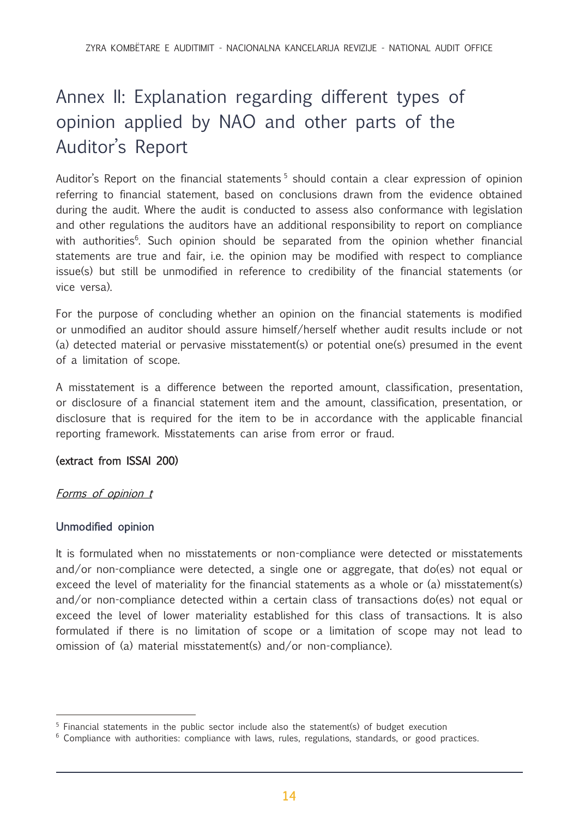# <span id="page-13-0"></span>Annex II: Explanation regarding different types of opinion applied by NAO and other parts of the Auditor's Report

Auditor's Report on the financial statements<sup>5</sup> should contain a clear expression of opinion referring to financial statement, based on conclusions drawn from the evidence obtained during the audit. Where the audit is conducted to assess also conformance with legislation and other regulations the auditors have an additional responsibility to report on compliance with authorities<sup>6</sup>. Such opinion should be separated from the opinion whether financial statements are true and fair, i.e. the opinion may be modified with respect to compliance issue(s) but still be unmodified in reference to credibility of the financial statements (or vice versa).

For the purpose of concluding whether an opinion on the financial statements is modified or unmodified an auditor should assure himself/herself whether audit results include or not (a) detected material or pervasive misstatement(s) or potential one(s) presumed in the event of a limitation of scope.

A misstatement is a difference between the reported amount, classification, presentation, or disclosure of a financial statement item and the amount, classification, presentation, or disclosure that is required for the item to be in accordance with the applicable financial reporting framework. Misstatements can arise from error or fraud.

### (extract from ISSAI 200)

### Forms of opinion t

### Unmodified opinion

It is formulated when no misstatements or non-compliance were detected or misstatements and/or non-compliance were detected, a single one or aggregate, that do(es) not equal or exceed the level of materiality for the financial statements as a whole or (a) misstatement(s) and/or non-compliance detected within a certain class of transactions do(es) not equal or exceed the level of lower materiality established for this class of transactions. It is also formulated if there is no limitation of scope or a limitation of scope may not lead to omission of (a) material misstatement(s) and/or non-compliance).

<sup>&</sup>lt;sup>5</sup> Financial statements in the public sector include also the statement(s) of budget execution

 $6$  Compliance with authorities: compliance with laws, rules, regulations, standards, or good practices.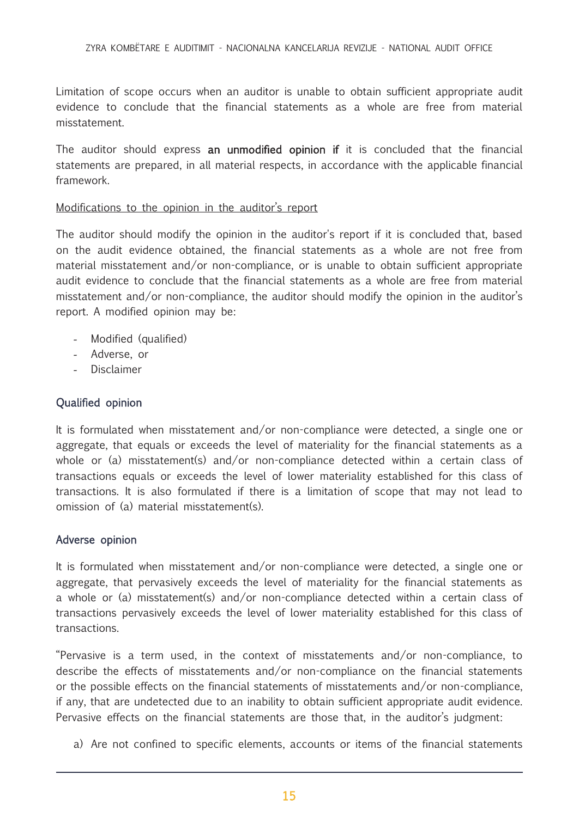Limitation of scope occurs when an auditor is unable to obtain sufficient appropriate audit evidence to conclude that the financial statements as a whole are free from material misstatement.

The auditor should express an unmodified opinion if it is concluded that the financial statements are prepared, in all material respects, in accordance with the applicable financial framework.

#### Modifications to the opinion in the auditor's report

The auditor should modify the opinion in the auditor's report if it is concluded that, based on the audit evidence obtained, the financial statements as a whole are not free from material misstatement and/or non-compliance, or is unable to obtain sufficient appropriate audit evidence to conclude that the financial statements as a whole are free from material misstatement and/or non-compliance, the auditor should modify the opinion in the auditor's report. A modified opinion may be:

- Modified (qualified)
- Adverse, or
- **Disclaimer**

### Qualified opinion

It is formulated when misstatement and/or non-compliance were detected, a single one or aggregate, that equals or exceeds the level of materiality for the financial statements as a whole or (a) misstatement(s) and/or non-compliance detected within a certain class of transactions equals or exceeds the level of lower materiality established for this class of transactions. It is also formulated if there is a limitation of scope that may not lead to omission of (a) material misstatement(s).

#### Adverse opinion

It is formulated when misstatement and/or non-compliance were detected, a single one or aggregate, that pervasively exceeds the level of materiality for the financial statements as a whole or (a) misstatement(s) and/or non-compliance detected within a certain class of transactions pervasively exceeds the level of lower materiality established for this class of transactions.

"Pervasive is a term used, in the context of misstatements and/or non-compliance, to describe the effects of misstatements and/or non-compliance on the financial statements or the possible effects on the financial statements of misstatements and/or non-compliance, if any, that are undetected due to an inability to obtain sufficient appropriate audit evidence. Pervasive effects on the financial statements are those that, in the auditor's judgment:

a) Are not confined to specific elements, accounts or items of the financial statements